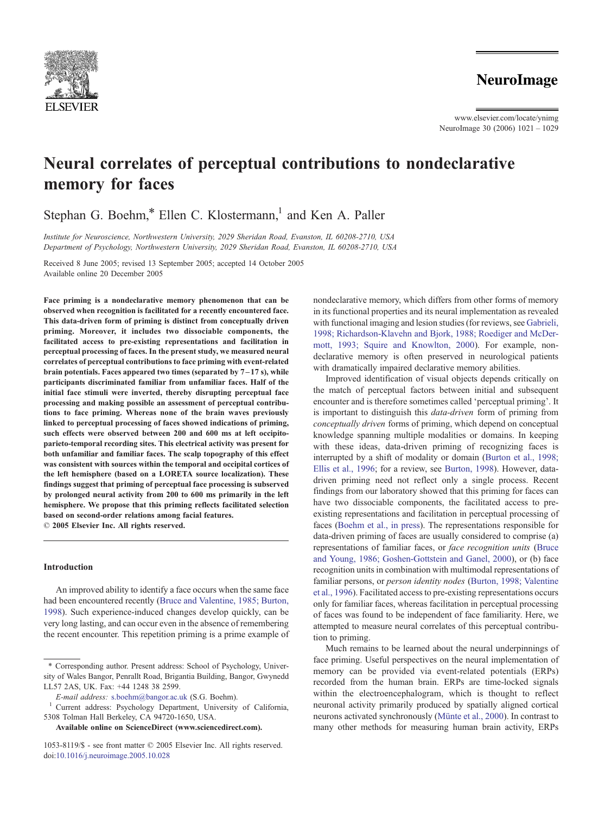

www.elsevier.com/locate/ynimg NeuroImage 30 (2006) 1021 – 1029

# Neural correlates of perceptual contributions to nondeclarative memory for faces

Stephan G. Boehm,\* Ellen C. Klostermann,<sup>1</sup> and Ken A. Paller

Institute for Neuroscience, Northwestern University, 2029 Sheridan Road, Evanston, IL 60208-2710, USA Department of Psychology, Northwestern University, 2029 Sheridan Road, Evanston, IL 60208-2710, USA

Received 8 June 2005; revised 13 September 2005; accepted 14 October 2005 Available online 20 December 2005

Face priming is a nondeclarative memory phenomenon that can be observed when recognition is facilitated for a recently encountered face. This data-driven form of priming is distinct from conceptually driven priming. Moreover, it includes two dissociable components, the facilitated access to pre-existing representations and facilitation in perceptual processing of faces. In the present study, we measured neural correlates of perceptual contributions to face priming with event-related brain potentials. Faces appeared two times (separated by  $7-17$  s), while participants discriminated familiar from unfamiliar faces. Half of the initial face stimuli were inverted, thereby disrupting perceptual face processing and making possible an assessment of perceptual contributions to face priming. Whereas none of the brain waves previously linked to perceptual processing of faces showed indications of priming, such effects were observed between 200 and 600 ms at left occipitoparieto-temporal recording sites. This electrical activity was present for both unfamiliar and familiar faces. The scalp topography of this effect was consistent with sources within the temporal and occipital cortices of the left hemisphere (based on a LORETA source localization). These findings suggest that priming of perceptual face processing is subserved by prolonged neural activity from 200 to 600 ms primarily in the left hemisphere. We propose that this priming reflects facilitated selection based on second-order relations among facial features.  $©$  2005 Elsevier Inc. All rights reserved.

## Introduction

An improved ability to identify a face occurs when the same face had been encountered recently ([Bruce and Valentine, 1985; Burton,](#page-7-0) 1998). Such experience-induced changes develop quickly, can be very long lasting, and can occur even in the absence of remembering the recent encounter. This repetition priming is a prime example of

Available online on ScienceDirect ([www.sciencedirect.com](http://www.sciencedirect.com)).

nondeclarative memory, which differs from other forms of memory in its functional properties and its neural implementation as revealed with functional imaging and lesion studies (for reviews, see [Gabrieli,](#page-7-0) 1998; Richardson-Klavehn and Bjork, 1988; Roediger and McDermott, 1993; Squire and Knowlton, 2000). For example, nondeclarative memory is often preserved in neurological patients with dramatically impaired declarative memory abilities.

Improved identification of visual objects depends critically on the match of perceptual factors between initial and subsequent encounter and is therefore sometimes called 'perceptual priming'. It is important to distinguish this data-driven form of priming from conceptually driven forms of priming, which depend on conceptual knowledge spanning multiple modalities or domains. In keeping with these ideas, data-driven priming of recognizing faces is interrupted by a shift of modality or domain ([Burton et al., 1998;](#page-7-0) Ellis et al., 1996; for a review, see [Burton, 1998\)](#page-7-0). However, datadriven priming need not reflect only a single process. Recent findings from our laboratory showed that this priming for faces can have two dissociable components, the facilitated access to preexisting representations and facilitation in perceptual processing of faces ([Boehm et al., in press\)](#page-7-0). The representations responsible for data-driven priming of faces are usually considered to comprise (a) representations of familiar faces, or face recognition units ([Bruce](#page-7-0) and Young, 1986; Goshen-Gottstein and Ganel, 2000), or (b) face recognition units in combination with multimodal representations of familiar persons, or person identity nodes ([Burton, 1998; Valentine](#page-7-0) et al., 1996). Facilitated access to pre-existing representations occurs only for familiar faces, whereas facilitation in perceptual processing of faces was found to be independent of face familiarity. Here, we attempted to measure neural correlates of this perceptual contribution to priming.

Much remains to be learned about the neural underpinnings of face priming. Useful perspectives on the neural implementation of memory can be provided via event-related potentials (ERPs) recorded from the human brain. ERPs are time-locked signals within the electroencephalogram, which is thought to reflect neuronal activity primarily produced by spatially aligned cortical neurons activated synchronously (Münte et al., 2000). In contrast to many other methods for measuring human brain activity, ERPs

<sup>\*</sup> Corresponding author. Present address: School of Psychology, University of Wales Bangor, Penrallt Road, Brigantia Building, Bangor, Gwynedd LL57 2AS, UK. Fax: +44 1248 38 2599.

E-mail address: [s.boehm@bangor.ac.uk](mailto:s.boehm@bangor.ac.uk) (S.G. Boehm). <sup>1</sup> Current address: Psychology Department, University of California, 5308 Tolman Hall Berkeley, CA 94720-1650, USA.

<sup>1053-8119/\$ -</sup> see front matter © 2005 Elsevier Inc. All rights reserved. doi:[10.1016/j.neuroimage.2005.10.028](http://dx.doi.org/10.1016/j.neuroimage.2005.10.028)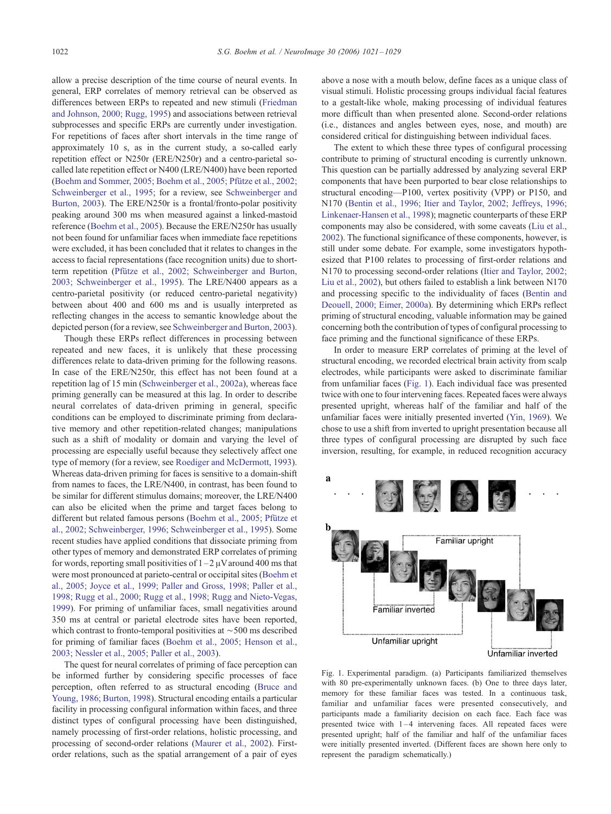allow a precise description of the time course of neural events. In general, ERP correlates of memory retrieval can be observed as differences between ERPs to repeated and new stimuli ([Friedman](#page-7-0) and Johnson, 2000; Rugg, 1995) and associations between retrieval subprocesses and specific ERPs are currently under investigation. For repetitions of faces after short intervals in the time range of approximately 10 s, as in the current study, a so-called early repetition effect or N250r (ERE/N250r) and a centro-parietal socalled late repetition effect or N400 (LRE/N400) have been reported (Boehm and Sommer, 2005; Boehm et al., 2005; Pfütze et al., 2002; Schweinberger et al., 1995; for a review, see [Schweinberger and](#page-8-0) Burton, 2003). The ERE/N250r is a frontal/fronto-polar positivity peaking around 300 ms when measured against a linked-mastoid reference ([Boehm et al., 2005\)](#page-7-0). Because the ERE/N250r has usually not been found for unfamiliar faces when immediate face repetitions were excluded, it has been concluded that it relates to changes in the access to facial representations (face recognition units) due to shortterm repetition (Pfütze et al., 2002; Schweinberger and Burton, 2003; Schweinberger et al., 1995). The LRE/N400 appears as a centro-parietal positivity (or reduced centro-parietal negativity) between about 400 and 600 ms and is usually interpreted as reflecting changes in the access to semantic knowledge about the depicted person (for a review, see [Schweinberger and Burton, 2003\)](#page-8-0).

Though these ERPs reflect differences in processing between repeated and new faces, it is unlikely that these processing differences relate to data-driven priming for the following reasons. In case of the ERE/N250r, this effect has not been found at a repetition lag of 15 min ([Schweinberger et al., 2002a\)](#page-8-0), whereas face priming generally can be measured at this lag. In order to describe neural correlates of data-driven priming in general, specific conditions can be employed to discriminate priming from declarative memory and other repetition-related changes; manipulations such as a shift of modality or domain and varying the level of processing are especially useful because they selectively affect one type of memory (for a review, see [Roediger and McDermott, 1993\)](#page-8-0). Whereas data-driven priming for faces is sensitive to a domain-shift from names to faces, the LRE/N400, in contrast, has been found to be similar for different stimulus domains; moreover, the LRE/N400 can also be elicited when the prime and target faces belong to different but related famous persons (Boehm et al., 2005; Pfütze et al., 2002; Schweinberger, 1996; Schweinberger et al., 1995). Some recent studies have applied conditions that dissociate priming from other types of memory and demonstrated ERP correlates of priming for words, reporting small positivities of  $1 - 2 \mu V$  around 400 ms that were most pronounced at parieto-central or occipital sites ([Boehm et](#page-7-0) al., 2005; Joyce et al., 1999; Paller and Gross, 1998; Paller et al., 1998; Rugg et al., 2000; Rugg et al., 1998; Rugg and Nieto-Vegas, 1999). For priming of unfamiliar faces, small negativities around 350 ms at central or parietal electrode sites have been reported, which contrast to fronto-temporal positivities at  $\sim$  500 ms described for priming of familiar faces ([Boehm et al., 2005; Henson et al.,](#page-7-0) 2003; Nessler et al., 2005; Paller et al., 2003).

The quest for neural correlates of priming of face perception can be informed further by considering specific processes of face perception, often referred to as structural encoding ([Bruce and](#page-7-0) Young, 1986; Burton, 1998). Structural encoding entails a particular facility in processing configural information within faces, and three distinct types of configural processing have been distinguished, namely processing of first-order relations, holistic processing, and processing of second-order relations ([Maurer et al., 2002\)](#page-8-0). Firstorder relations, such as the spatial arrangement of a pair of eyes

above a nose with a mouth below, define faces as a unique class of visual stimuli. Holistic processing groups individual facial features to a gestalt-like whole, making processing of individual features more difficult than when presented alone. Second-order relations (i.e., distances and angles between eyes, nose, and mouth) are considered critical for distinguishing between individual faces.

The extent to which these three types of configural processing contribute to priming of structural encoding is currently unknown. This question can be partially addressed by analyzing several ERP components that have been purported to bear close relationships to structural encoding—P100, vertex positivity (VPP) or P150, and N170 ([Bentin et al., 1996; Itier and Taylor, 2002; Jeffreys, 1996;](#page-7-0) Linkenaer-Hansen et al., 1998); magnetic counterparts of these ERP components may also be considered, with some caveats ([Liu et al.,](#page-8-0) 2002). The functional significance of these components, however, is still under some debate. For example, some investigators hypothesized that P100 relates to processing of first-order relations and N170 to processing second-order relations ([Itier and Taylor, 2002;](#page-7-0) Liu et al., 2002), but others failed to establish a link between N170 and processing specific to the individuality of faces ([Bentin and](#page-7-0) Deouell, 2000; Eimer, 2000a). By determining which ERPs reflect priming of structural encoding, valuable information may be gained concerning both the contribution of types of configural processing to face priming and the functional significance of these ERPs.

In order to measure ERP correlates of priming at the level of structural encoding, we recorded electrical brain activity from scalp electrodes, while participants were asked to discriminate familiar from unfamiliar faces (Fig. 1). Each individual face was presented twice with one to four intervening faces. Repeated faces were always presented upright, whereas half of the familiar and half of the unfamiliar faces were initially presented inverted ([Yin, 1969\)](#page-8-0). We chose to use a shift from inverted to upright presentation because all three types of configural processing are disrupted by such face inversion, resulting, for example, in reduced recognition accuracy



Fig. 1. Experimental paradigm. (a) Participants familiarized themselves with 80 pre-experimentally unknown faces. (b) One to three days later, memory for these familiar faces was tested. In a continuous task, familiar and unfamiliar faces were presented consecutively, and participants made a familiarity decision on each face. Each face was presented twice with  $1-4$  intervening faces. All repeated faces were presented upright; half of the familiar and half of the unfamiliar faces were initially presented inverted. (Different faces are shown here only to represent the paradigm schematically.)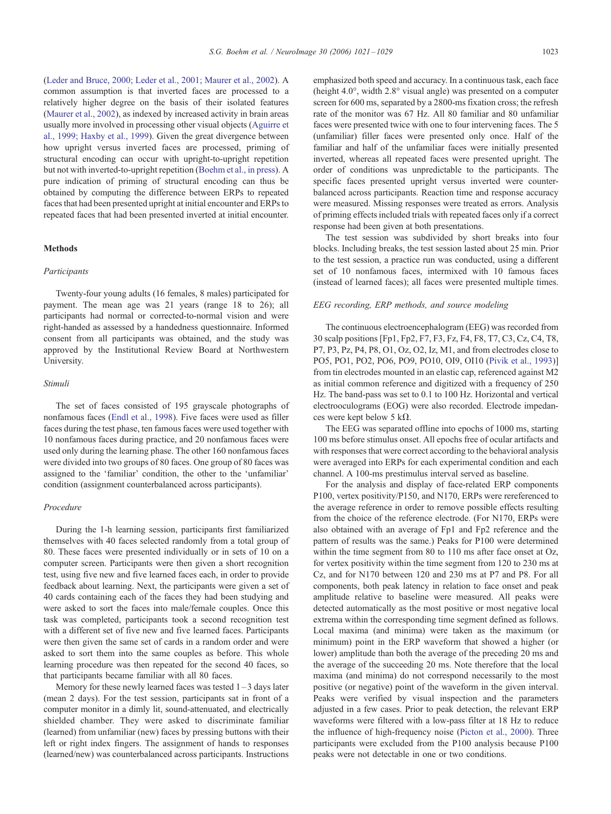([Leder and Bruce, 2000; Leder et al., 2001; Maurer et al., 2002\)](#page-7-0). A common assumption is that inverted faces are processed to a relatively higher degree on the basis of their isolated features ([Maurer et al., 2002\)](#page-8-0), as indexed by increased activity in brain areas usually more involved in processing other visual objects ([Aguirre et](#page-7-0) al., 1999; Haxby et al., 1999). Given the great divergence between how upright versus inverted faces are processed, priming of structural encoding can occur with upright-to-upright repetition but not with inverted-to-upright repetition ([Boehm et al., in press\)](#page-7-0). A pure indication of priming of structural encoding can thus be obtained by computing the difference between ERPs to repeated faces that had been presented upright at initial encounter and ERPs to repeated faces that had been presented inverted at initial encounter.

## Methods

## Participants

Twenty-four young adults (16 females, 8 males) participated for payment. The mean age was 21 years (range 18 to 26); all participants had normal or corrected-to-normal vision and were right-handed as assessed by a handedness questionnaire. Informed consent from all participants was obtained, and the study was approved by the Institutional Review Board at Northwestern University.

#### Stimuli

The set of faces consisted of 195 grayscale photographs of nonfamous faces ([Endl et al., 1998\)](#page-7-0). Five faces were used as filler faces during the test phase, ten famous faces were used together with 10 nonfamous faces during practice, and 20 nonfamous faces were used only during the learning phase. The other 160 nonfamous faces were divided into two groups of 80 faces. One group of 80 faces was assigned to the 'familiar' condition, the other to the 'unfamiliar' condition (assignment counterbalanced across participants).

# Procedure

During the 1-h learning session, participants first familiarized themselves with 40 faces selected randomly from a total group of 80. These faces were presented individually or in sets of 10 on a computer screen. Participants were then given a short recognition test, using five new and five learned faces each, in order to provide feedback about learning. Next, the participants were given a set of 40 cards containing each of the faces they had been studying and were asked to sort the faces into male/female couples. Once this task was completed, participants took a second recognition test with a different set of five new and five learned faces. Participants were then given the same set of cards in a random order and were asked to sort them into the same couples as before. This whole learning procedure was then repeated for the second 40 faces, so that participants became familiar with all 80 faces.

Memory for these newly learned faces was tested 1 – 3 days later (mean 2 days). For the test session, participants sat in front of a computer monitor in a dimly lit, sound-attenuated, and electrically shielded chamber. They were asked to discriminate familiar (learned) from unfamiliar (new) faces by pressing buttons with their left or right index fingers. The assignment of hands to responses (learned/new) was counterbalanced across participants. Instructions

emphasized both speed and accuracy. In a continuous task, each face (height  $4.0^{\circ}$ , width  $2.8^{\circ}$  visual angle) was presented on a computer screen for 600 ms, separated by a 2800-ms fixation cross; the refresh rate of the monitor was 67 Hz. All 80 familiar and 80 unfamiliar faces were presented twice with one to four intervening faces. The 5 (unfamiliar) filler faces were presented only once. Half of the familiar and half of the unfamiliar faces were initially presented inverted, whereas all repeated faces were presented upright. The order of conditions was unpredictable to the participants. The specific faces presented upright versus inverted were counterbalanced across participants. Reaction time and response accuracy were measured. Missing responses were treated as errors. Analysis of priming effects included trials with repeated faces only if a correct response had been given at both presentations.

The test session was subdivided by short breaks into four blocks. Including breaks, the test session lasted about 25 min. Prior to the test session, a practice run was conducted, using a different set of 10 nonfamous faces, intermixed with 10 famous faces (instead of learned faces); all faces were presented multiple times.

## EEG recording, ERP methods, and source modeling

The continuous electroencephalogram (EEG) was recorded from 30 scalp positions [Fp1, Fp2, F7, F3, Fz, F4, F8, T7, C3, Cz, C4, T8, P7, P3, Pz, P4, P8, O1, Oz, O2, Iz, M1, and from electrodes close to PO5, PO1, PO2, PO6, PO9, PO10, OI9, OI10 ([Pivik et al., 1993\)](#page-8-0)] from tin electrodes mounted in an elastic cap, referenced against M2 as initial common reference and digitized with a frequency of 250 Hz. The band-pass was set to 0.1 to 100 Hz. Horizontal and vertical electrooculograms (EOG) were also recorded. Electrode impedances were kept below 5 k $\Omega$ .

The EEG was separated offline into epochs of 1000 ms, starting 100 ms before stimulus onset. All epochs free of ocular artifacts and with responses that were correct according to the behavioral analysis were averaged into ERPs for each experimental condition and each channel. A 100-ms prestimulus interval served as baseline.

For the analysis and display of face-related ERP components P100, vertex positivity/P150, and N170, ERPs were rereferenced to the average reference in order to remove possible effects resulting from the choice of the reference electrode. (For N170, ERPs were also obtained with an average of Fp1 and Fp2 reference and the pattern of results was the same.) Peaks for P100 were determined within the time segment from 80 to 110 ms after face onset at Oz, for vertex positivity within the time segment from 120 to 230 ms at Cz, and for N170 between 120 and 230 ms at P7 and P8. For all components, both peak latency in relation to face onset and peak amplitude relative to baseline were measured. All peaks were detected automatically as the most positive or most negative local extrema within the corresponding time segment defined as follows. Local maxima (and minima) were taken as the maximum (or minimum) point in the ERP waveform that showed a higher (or lower) amplitude than both the average of the preceding 20 ms and the average of the succeeding 20 ms. Note therefore that the local maxima (and minima) do not correspond necessarily to the most positive (or negative) point of the waveform in the given interval. Peaks were verified by visual inspection and the parameters adjusted in a few cases. Prior to peak detection, the relevant ERP waveforms were filtered with a low-pass filter at 18 Hz to reduce the influence of high-frequency noise ([Picton et al., 2000\)](#page-8-0). Three participants were excluded from the P100 analysis because P100 peaks were not detectable in one or two conditions.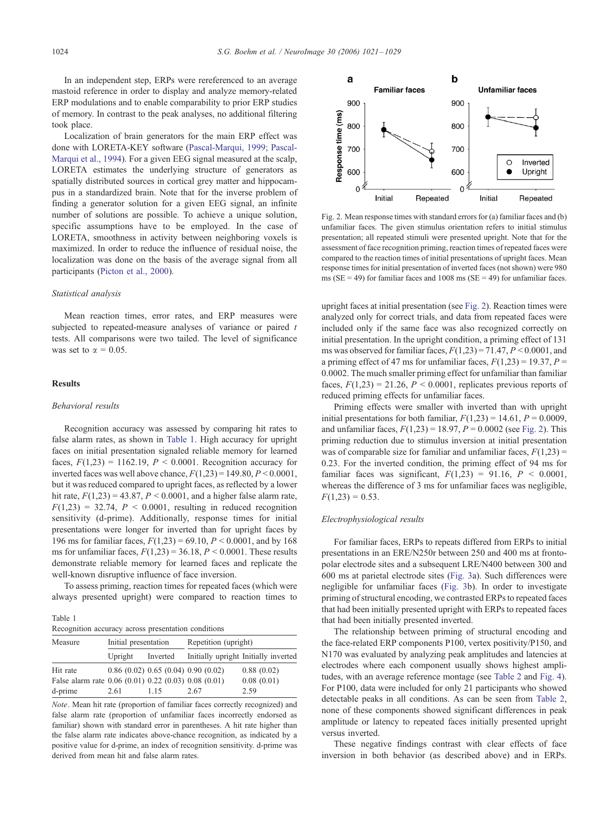In an independent step, ERPs were rereferenced to an average mastoid reference in order to display and analyze memory-related ERP modulations and to enable comparability to prior ERP studies of memory. In contrast to the peak analyses, no additional filtering took place.

Localization of brain generators for the main ERP effect was done with LORETA-KEY software ([Pascal-Marqui, 1999; Pascal-](#page-8-0)Marqui et al., 1994). For a given EEG signal measured at the scalp, LORETA estimates the underlying structure of generators as spatially distributed sources in cortical grey matter and hippocampus in a standardized brain. Note that for the inverse problem of finding a generator solution for a given EEG signal, an infinite number of solutions are possible. To achieve a unique solution, specific assumptions have to be employed. In the case of LORETA, smoothness in activity between neighboring voxels is maximized. In order to reduce the influence of residual noise, the localization was done on the basis of the average signal from all participants ([Picton et al., 2000\)](#page-8-0).

## Statistical analysis

Mean reaction times, error rates, and ERP measures were subjected to repeated-measure analyses of variance or paired  $t$ tests. All comparisons were two tailed. The level of significance was set to  $\alpha = 0.05$ .

## Results

#### Behavioral results

Recognition accuracy was assessed by comparing hit rates to false alarm rates, as shown in Table 1. High accuracy for upright faces on initial presentation signaled reliable memory for learned faces,  $F(1,23) = 1162.19$ ,  $P < 0.0001$ . Recognition accuracy for inverted faces was well above chance,  $F(1,23) = 149.80, P \le 0.0001$ , but it was reduced compared to upright faces, as reflected by a lower hit rate,  $F(1,23) = 43.87$ ,  $P < 0.0001$ , and a higher false alarm rate,  $F(1,23) = 32.74$ ,  $P \le 0.0001$ , resulting in reduced recognition sensitivity (d-prime). Additionally, response times for initial presentations were longer for inverted than for upright faces by 196 ms for familiar faces,  $F(1,23) = 69.10, P < 0.0001$ , and by 168 ms for unfamiliar faces,  $F(1,23) = 36.18$ ,  $P < 0.0001$ . These results demonstrate reliable memory for learned faces and replicate the well-known disruptive influence of face inversion.

To assess priming, reaction times for repeated faces (which were always presented upright) were compared to reaction times to

Table 1

|  | Recognition accuracy across presentation conditions |  |
|--|-----------------------------------------------------|--|
|  |                                                     |  |

| Measure                                              | Initial presentation |          | Repetition (upright)           |                                      |  |
|------------------------------------------------------|----------------------|----------|--------------------------------|--------------------------------------|--|
|                                                      | Upright              | Inverted |                                | Initially upright Initially inverted |  |
| Hit rate                                             |                      |          | 0.86(0.02)0.65(0.04)0.90(0.02) | 0.88(0.02)                           |  |
| False alarm rate 0.06 (0.01) 0.22 (0.03) 0.08 (0.01) |                      |          |                                | 0.08(0.01)                           |  |
| d-prime                                              | 2.61                 | 115      | 2.67                           | 2.59                                 |  |

Note. Mean hit rate (proportion of familiar faces correctly recognized) and false alarm rate (proportion of unfamiliar faces incorrectly endorsed as familiar) shown with standard error in parentheses. A hit rate higher than the false alarm rate indicates above-chance recognition, as indicated by a positive value for d-prime, an index of recognition sensitivity. d-prime was derived from mean hit and false alarm rates.



Fig. 2. Mean response times with standard errors for (a) familiar faces and (b) unfamiliar faces. The given stimulus orientation refers to initial stimulus presentation; all repeated stimuli were presented upright. Note that for the assessment of face recognition priming, reaction times of repeated faces were compared to the reaction times of initial presentations of upright faces. Mean response times for initial presentation of inverted faces (not shown) were 980 ms ( $SE = 49$ ) for familiar faces and 1008 ms ( $SE = 49$ ) for unfamiliar faces.

upright faces at initial presentation (see Fig. 2). Reaction times were analyzed only for correct trials, and data from repeated faces were included only if the same face was also recognized correctly on initial presentation. In the upright condition, a priming effect of 131 ms was observed for familiar faces,  $F(1,23) = 71.47$ ,  $P < 0.0001$ , and a priming effect of 47 ms for unfamiliar faces,  $F(1,23) = 19.37$ ,  $P =$ 0.0002. The much smaller priming effect for unfamiliar than familiar faces,  $F(1,23) = 21.26$ ,  $P \le 0.0001$ , replicates previous reports of reduced priming effects for unfamiliar faces.

Priming effects were smaller with inverted than with upright initial presentations for both familiar,  $F(1,23) = 14.61$ ,  $P = 0.0009$ , and unfamiliar faces,  $F(1,23) = 18.97$ ,  $P = 0.0002$  (see Fig. 2). This priming reduction due to stimulus inversion at initial presentation was of comparable size for familiar and unfamiliar faces,  $F(1,23) =$ 0.23. For the inverted condition, the priming effect of 94 ms for familiar faces was significant,  $F(1,23) = 91.16$ ,  $P < 0.0001$ , whereas the difference of 3 ms for unfamiliar faces was negligible,  $F(1,23) = 0.53$ .

## Electrophysiological results

For familiar faces, ERPs to repeats differed from ERPs to initial presentations in an ERE/N250r between 250 and 400 ms at frontopolar electrode sites and a subsequent LRE/N400 between 300 and 600 ms at parietal electrode sites ([Fig. 3a](#page-4-0)). Such differences were negligible for unfamiliar faces ([Fig. 3b](#page-4-0)). In order to investigate priming of structural encoding, we contrasted ERPs to repeated faces that had been initially presented upright with ERPs to repeated faces that had been initially presented inverted.

The relationship between priming of structural encoding and the face-related ERP components P100, vertex positivity/P150, and N170 was evaluated by analyzing peak amplitudes and latencies at electrodes where each component usually shows highest amplitudes, with an average reference montage (see [Table 2](#page-4-0) and [Fig. 4\)](#page-5-0). For P100, data were included for only 21 participants who showed detectable peaks in all conditions. As can be seen from [Table 2,](#page-4-0) none of these components showed significant differences in peak amplitude or latency to repeated faces initially presented upright versus inverted.

These negative findings contrast with clear effects of face inversion in both behavior (as described above) and in ERPs.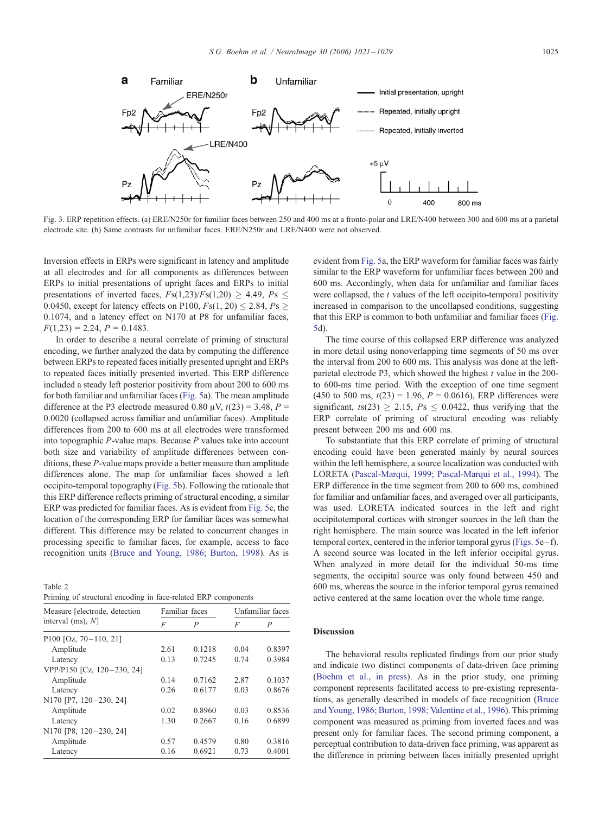<span id="page-4-0"></span>

Fig. 3. ERP repetition effects. (a) ERE/N250r for familiar faces between 250 and 400 ms at a fronto-polar and LRE/N400 between 300 and 600 ms at a parietal electrode site. (b) Same contrasts for unfamiliar faces. ERE/N250r and LRE/N400 were not observed.

Inversion effects in ERPs were significant in latency and amplitude at all electrodes and for all components as differences between ERPs to initial presentations of upright faces and ERPs to initial presentations of inverted faces,  $Fs(1,23)/Fs(1,20) \geq 4.49$ ,  $Ps \leq$ 0.0450, except for latency effects on P100,  $Fs(1, 20) \le 2.84$ ,  $Ps \ge$ 0.1074, and a latency effect on N170 at P8 for unfamiliar faces,  $F(1,23) = 2.24$ ,  $P = 0.1483$ .

In order to describe a neural correlate of priming of structural encoding, we further analyzed the data by computing the difference between ERPs to repeated faces initially presented upright and ERPs to repeated faces initially presented inverted. This ERP difference included a steady left posterior positivity from about 200 to 600 ms for both familiar and unfamiliar faces ([Fig. 5a](#page-6-0)). The mean amplitude difference at the P3 electrode measured 0.80  $\mu$ V,  $t(23) = 3.48$ ,  $P =$ 0.0020 (collapsed across familiar and unfamiliar faces). Amplitude differences from 200 to 600 ms at all electrodes were transformed into topographic  $P$ -value maps. Because  $P$  values take into account both size and variability of amplitude differences between conditions, these P-value maps provide a better measure than amplitude differences alone. The map for unfamiliar faces showed a left occipito-temporal topography ([Fig. 5b](#page-6-0)). Following the rationale that this ERP difference reflects priming of structural encoding, a similar ERP was predicted for familiar faces. As is evident from [Fig. 5c](#page-6-0), the location of the corresponding ERP for familiar faces was somewhat different. This difference may be related to concurrent changes in processing specific to familiar faces, for example, access to face recognition units ([Bruce and Young, 1986; Burton, 1998\)](#page-7-0). As is

Table 2 Priming of structural encoding in face-related ERP components

| Measure [electrode, detection] |      | Familiar faces |      | Unfamiliar faces |  |
|--------------------------------|------|----------------|------|------------------|--|
| interval $(ms)$ , $N$ ]        | F    | P              | F    | P                |  |
| P100 [Oz, $70-110$ , 21]       |      |                |      |                  |  |
| Amplitude                      | 2.61 | 0.1218         | 0.04 | 0.8397           |  |
| Latency                        | 0.13 | 0.7245         | 0.74 | 0.3984           |  |
| VPP/P150 [Cz, 120-230, 24]     |      |                |      |                  |  |
| Amplitude                      | 0.14 | 0.7162         | 2.87 | 0.1037           |  |
| Latency                        | 0.26 | 0.6177         | 0.03 | 0.8676           |  |
| N170 [P7, 120-230, 24]         |      |                |      |                  |  |
| Amplitude                      | 0.02 | 0.8960         | 0.03 | 0.8536           |  |
| Latency                        | 1.30 | 0.2667         | 0.16 | 0.6899           |  |
| N170 [P8, 120-230, 24]         |      |                |      |                  |  |
| Amplitude                      | 0.57 | 0.4579         | 0.80 | 0.3816           |  |
| Latency                        | 0.16 | 0.6921         | 0.73 | 0.4001           |  |

evident from [Fig. 5a](#page-6-0), the ERP waveform for familiar faces was fairly similar to the ERP waveform for unfamiliar faces between 200 and 600 ms. Accordingly, when data for unfamiliar and familiar faces were collapsed, the  $t$  values of the left occipito-temporal positivity increased in comparison to the uncollapsed conditions, suggesting that this ERP is common to both unfamiliar and familiar faces ([Fig.](#page-6-0) 5d).

The time course of this collapsed ERP difference was analyzed in more detail using nonoverlapping time segments of 50 ms over the interval from 200 to 600 ms. This analysis was done at the leftparietal electrode P3, which showed the highest  $t$  value in the 200to 600-ms time period. With the exception of one time segment (450 to 500 ms,  $t(23) = 1.96$ ,  $P = 0.0616$ ), ERP differences were significant,  $t s(23) \ge 2.15$ ,  $Ps \le 0.0422$ , thus verifying that the ERP correlate of priming of structural encoding was reliably present between 200 ms and 600 ms.

To substantiate that this ERP correlate of priming of structural encoding could have been generated mainly by neural sources within the left hemisphere, a source localization was conducted with LORETA ([Pascal-Marqui, 1999; Pascal-Marqui et al., 1994\)](#page-8-0). The ERP difference in the time segment from 200 to 600 ms, combined for familiar and unfamiliar faces, and averaged over all participants, was used. LORETA indicated sources in the left and right occipitotemporal cortices with stronger sources in the left than the right hemisphere. The main source was located in the left inferior temporal cortex, centered in the inferior temporal gyrus ([Figs. 5e](#page-6-0) – f). A second source was located in the left inferior occipital gyrus. When analyzed in more detail for the individual 50-ms time segments, the occipital source was only found between 450 and 600 ms, whereas the source in the inferior temporal gyrus remained active centered at the same location over the whole time range.

#### Discussion

The behavioral results replicated findings from our prior study and indicate two distinct components of data-driven face priming ([Boehm et al., in press\)](#page-7-0). As in the prior study, one priming component represents facilitated access to pre-existing representations, as generally described in models of face recognition ([Bruce](#page-7-0) and Young, 1986; Burton, 1998; Valentine et al., 1996). This priming component was measured as priming from inverted faces and was present only for familiar faces. The second priming component, a perceptual contribution to data-driven face priming, was apparent as the difference in priming between faces initially presented upright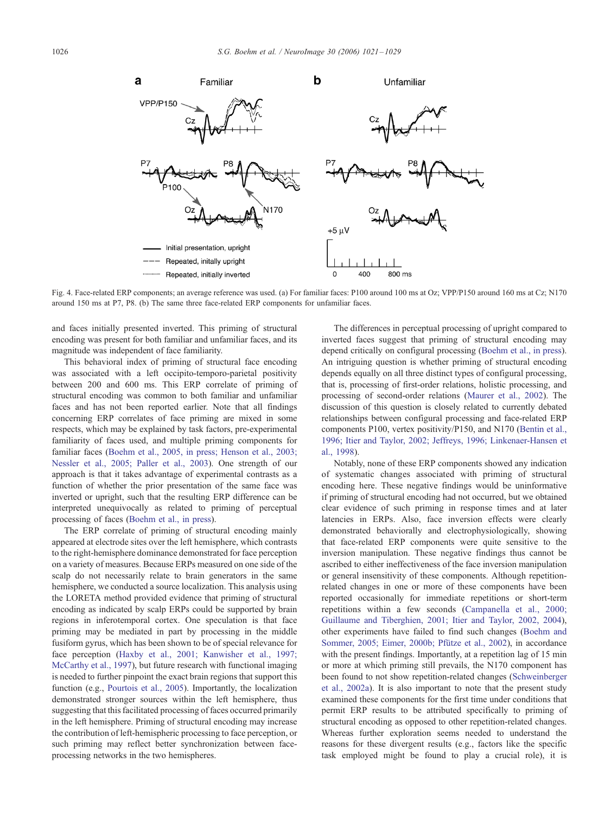<span id="page-5-0"></span>

Fig. 4. Face-related ERP components; an average reference was used. (a) For familiar faces: P100 around 100 ms at Oz; VPP/P150 around 160 ms at Cz; N170 around 150 ms at P7, P8. (b) The same three face-related ERP components for unfamiliar faces.

and faces initially presented inverted. This priming of structural encoding was present for both familiar and unfamiliar faces, and its magnitude was independent of face familiarity.

This behavioral index of priming of structural face encoding was associated with a left occipito-temporo-parietal positivity between 200 and 600 ms. This ERP correlate of priming of structural encoding was common to both familiar and unfamiliar faces and has not been reported earlier. Note that all findings concerning ERP correlates of face priming are mixed in some respects, which may be explained by task factors, pre-experimental familiarity of faces used, and multiple priming components for familiar faces ([Boehm et al., 2005, in press; Henson et al., 2003;](#page-7-0) Nessler et al., 2005; Paller et al., 2003). One strength of our approach is that it takes advantage of experimental contrasts as a function of whether the prior presentation of the same face was inverted or upright, such that the resulting ERP difference can be interpreted unequivocally as related to priming of perceptual processing of faces ([Boehm et al., in press\)](#page-7-0).

The ERP correlate of priming of structural encoding mainly appeared at electrode sites over the left hemisphere, which contrasts to the right-hemisphere dominance demonstrated for face perception on a variety of measures. Because ERPs measured on one side of the scalp do not necessarily relate to brain generators in the same hemisphere, we conducted a source localization. This analysis using the LORETA method provided evidence that priming of structural encoding as indicated by scalp ERPs could be supported by brain regions in inferotemporal cortex. One speculation is that face priming may be mediated in part by processing in the middle fusiform gyrus, which has been shown to be of special relevance for face perception ([Haxby et al., 2001; Kanwisher et al., 1997;](#page-7-0) McCarthy et al., 1997), but future research with functional imaging is needed to further pinpoint the exact brain regions that support this function (e.g., [Pourtois et al., 2005\)](#page-8-0). Importantly, the localization demonstrated stronger sources within the left hemisphere, thus suggesting that this facilitated processing of faces occurred primarily in the left hemisphere. Priming of structural encoding may increase the contribution of left-hemispheric processing to face perception, or such priming may reflect better synchronization between faceprocessing networks in the two hemispheres.

The differences in perceptual processing of upright compared to inverted faces suggest that priming of structural encoding may depend critically on configural processing ([Boehm et al., in press\)](#page-7-0). An intriguing question is whether priming of structural encoding depends equally on all three distinct types of configural processing, that is, processing of first-order relations, holistic processing, and processing of second-order relations ([Maurer et al., 2002\)](#page-8-0). The discussion of this question is closely related to currently debated relationships between configural processing and face-related ERP components P100, vertex positivity/P150, and N170 ([Bentin et al.,](#page-7-0) 1996; Itier and Taylor, 2002; Jeffreys, 1996; Linkenaer-Hansen et al., 1998).

Notably, none of these ERP components showed any indication of systematic changes associated with priming of structural encoding here. These negative findings would be uninformative if priming of structural encoding had not occurred, but we obtained clear evidence of such priming in response times and at later latencies in ERPs. Also, face inversion effects were clearly demonstrated behaviorally and electrophysiologically, showing that face-related ERP components were quite sensitive to the inversion manipulation. These negative findings thus cannot be ascribed to either ineffectiveness of the face inversion manipulation or general insensitivity of these components. Although repetitionrelated changes in one or more of these components have been reported occasionally for immediate repetitions or short-term repetitions within a few seconds ([Campanella et al., 2000;](#page-7-0) Guillaume and Tiberghien, 2001; Itier and Taylor, 2002, 2004), other experiments have failed to find such changes ([Boehm and](#page-7-0) Sommer, 2005; Eimer, 2000b; Pfütze et al., 2002), in accordance with the present findings. Importantly, at a repetition lag of 15 min or more at which priming still prevails, the N170 component has been found to not show repetition-related changes ([Schweinberger](#page-8-0) et al., 2002a). It is also important to note that the present study examined these components for the first time under conditions that permit ERP results to be attributed specifically to priming of structural encoding as opposed to other repetition-related changes. Whereas further exploration seems needed to understand the reasons for these divergent results (e.g., factors like the specific task employed might be found to play a crucial role), it is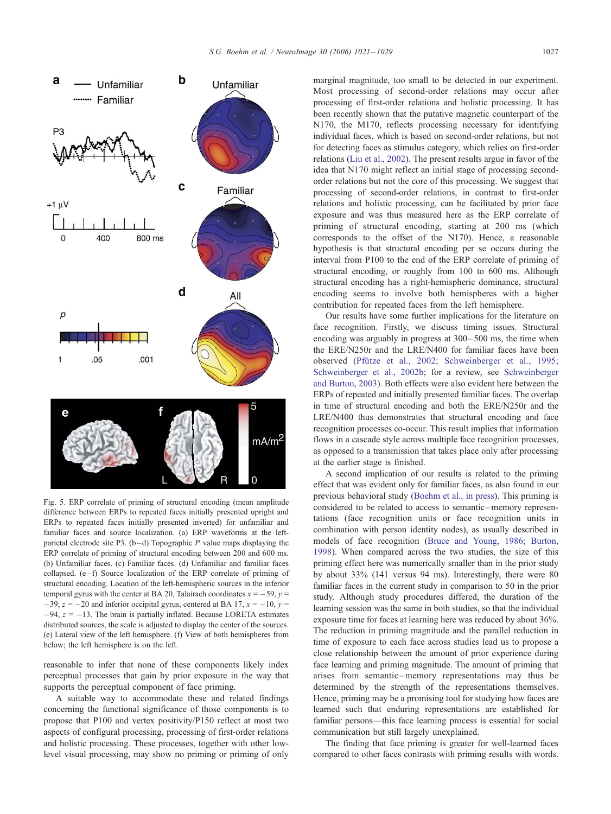<span id="page-6-0"></span>

Fig. 5. ERP correlate of priming of structural encoding (mean amplitude difference between ERPs to repeated faces initially presented upright and ERPs to repeated faces initially presented inverted) for unfamiliar and familiar faces and source localization. (a) ERP waveforms at the leftparietal electrode site P3.  $(b-d)$  Topographic P value maps displaying the ERP correlate of priming of structural encoding between 200 and 600 ms. (b) Unfamiliar faces. (c) Familiar faces. (d) Unfamiliar and familiar faces collapsed.  $(e - f)$  Source localization of the ERP correlate of priming of structural encoding. Location of the left-hemispheric sources in the inferior temporal gyrus with the center at BA 20, Talairach coordinates  $x = -59$ ,  $y =$  $-39$ ,  $z = -20$  and inferior occipital gyrus, centered at BA 17,  $x = -10$ ,  $y =$  $-94$ ,  $z = -13$ . The brain is partially inflated. Because LORETA estimates distributed sources, the scale is adjusted to display the center of the sources. (e) Lateral view of the left hemisphere. (f) View of both hemispheres from below; the left hemisphere is on the left.

reasonable to infer that none of these components likely index perceptual processes that gain by prior exposure in the way that supports the perceptual component of face priming.

A suitable way to accommodate these and related findings concerning the functional significance of those components is to propose that P100 and vertex positivity/P150 reflect at most two aspects of configural processing, processing of first-order relations and holistic processing. These processes, together with other lowlevel visual processing, may show no priming or priming of only marginal magnitude, too small to be detected in our experiment. Most processing of second-order relations may occur after processing of first-order relations and holistic processing. It has been recently shown that the putative magnetic counterpart of the N170, the M170, reflects processing necessary for identifying individual faces, which is based on second-order relations, but not for detecting faces as stimulus category, which relies on first-order relations ([Liu et al., 2002\)](#page-8-0). The present results argue in favor of the idea that N170 might reflect an initial stage of processing secondorder relations but not the core of this processing. We suggest that processing of second-order relations, in contrast to first-order relations and holistic processing, can be facilitated by prior face exposure and was thus measured here as the ERP correlate of priming of structural encoding, starting at 200 ms (which corresponds to the offset of the N170). Hence, a reasonable hypothesis is that structural encoding per se occurs during the interval from P100 to the end of the ERP correlate of priming of structural encoding, or roughly from 100 to 600 ms. Although structural encoding has a right-hemispheric dominance, structural encoding seems to involve both hemispheres with a higher contribution for repeated faces from the left hemisphere.

Our results have some further implications for the literature on face recognition. Firstly, we discuss timing issues. Structural encoding was arguably in progress at  $300 - 500$  ms, the time when the ERE/N250r and the LRE/N400 for familiar faces have been observed (Pfütze et al., 2002; Schweinberger et al., 1995; Schweinberger et al., 2002b; for a review, see [Schweinberger](#page-8-0) and Burton, 2003). Both effects were also evident here between the ERPs of repeated and initially presented familiar faces. The overlap in time of structural encoding and both the ERE/N250r and the LRE/N400 thus demonstrates that structural encoding and face recognition processes co-occur. This result implies that information flows in a cascade style across multiple face recognition processes, as opposed to a transmission that takes place only after processing at the earlier stage is finished.

A second implication of our results is related to the priming effect that was evident only for familiar faces, as also found in our previous behavioral study ([Boehm et al., in press\)](#page-7-0). This priming is considered to be related to access to semantic –memory representations (face recognition units or face recognition units in combination with person identity nodes), as usually described in models of face recognition ([Bruce and Young, 1986; Burton,](#page-7-0) 1998). When compared across the two studies, the size of this priming effect here was numerically smaller than in the prior study by about 33% (141 versus 94 ms). Interestingly, there were 80 familiar faces in the current study in comparison to 50 in the prior study. Although study procedures differed, the duration of the learning session was the same in both studies, so that the individual exposure time for faces at learning here was reduced by about 36%. The reduction in priming magnitude and the parallel reduction in time of exposure to each face across studies lead us to propose a close relationship between the amount of prior experience during face learning and priming magnitude. The amount of priming that arises from semantic –memory representations may thus be determined by the strength of the representations themselves. Hence, priming may be a promising tool for studying how faces are learned such that enduring representations are established for familiar persons—this face learning process is essential for social communication but still largely unexplained.

The finding that face priming is greater for well-learned faces compared to other faces contrasts with priming results with words.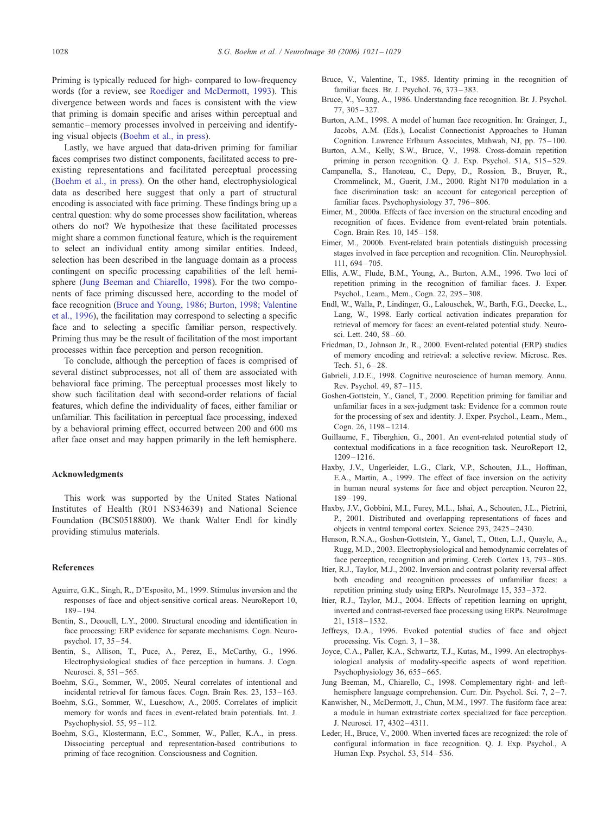<span id="page-7-0"></span>Priming is typically reduced for high- compared to low-frequency words (for a review, see [Roediger and McDermott, 1993\)](#page-8-0). This divergence between words and faces is consistent with the view that priming is domain specific and arises within perceptual and semantic-memory processes involved in perceiving and identifying visual objects (Boehm et al., in press).

Lastly, we have argued that data-driven priming for familiar faces comprises two distinct components, facilitated access to preexisting representations and facilitated perceptual processing (Boehm et al., in press). On the other hand, electrophysiological data as described here suggest that only a part of structural encoding is associated with face priming. These findings bring up a central question: why do some processes show facilitation, whereas others do not? We hypothesize that these facilitated processes might share a common functional feature, which is the requirement to select an individual entity among similar entities. Indeed, selection has been described in the language domain as a process contingent on specific processing capabilities of the left hemisphere (Jung Beeman and Chiarello, 1998). For the two components of face priming discussed here, according to the model of face recognition (Bruce and Young, 1986; Burton, 1998; Valentine et al., 1996), the facilitation may correspond to selecting a specific face and to selecting a specific familiar person, respectively. Priming thus may be the result of facilitation of the most important processes within face perception and person recognition.

To conclude, although the perception of faces is comprised of several distinct subprocesses, not all of them are associated with behavioral face priming. The perceptual processes most likely to show such facilitation deal with second-order relations of facial features, which define the individuality of faces, either familiar or unfamiliar. This facilitation in perceptual face processing, indexed by a behavioral priming effect, occurred between 200 and 600 ms after face onset and may happen primarily in the left hemisphere.

## Acknowledgments

This work was supported by the United States National Institutes of Health (R01 NS34639) and National Science Foundation (BCS0518800). We thank Walter Endl for kindly providing stimulus materials.

## References

- Aguirre, G.K., Singh, R., D'Esposito, M., 1999. Stimulus inversion and the responses of face and object-sensitive cortical areas. NeuroReport 10, 189 – 194.
- Bentin, S., Deouell, L.Y., 2000. Structural encoding and identification in face processing: ERP evidence for separate mechanisms. Cogn. Neuropsychol. 17, 35 – 54.
- Bentin, S., Allison, T., Puce, A., Perez, E., McCarthy, G., 1996. Electrophysiological studies of face perception in humans. J. Cogn. Neurosci. 8, 551-565.
- Boehm, S.G., Sommer, W., 2005. Neural correlates of intentional and incidental retrieval for famous faces. Cogn. Brain Res. 23, 153 – 163.
- Boehm, S.G., Sommer, W., Lueschow, A., 2005. Correlates of implicit memory for words and faces in event-related brain potentials. Int. J. Psychophysiol. 55, 95 – 112.
- Boehm, S.G., Klostermann, E.C., Sommer, W., Paller, K.A., in press. Dissociating perceptual and representation-based contributions to priming of face recognition. Consciousness and Cognition.
- Bruce, V., Valentine, T., 1985. Identity priming in the recognition of familiar faces. Br. J. Psychol. 76, 373 – 383.
- Bruce, V., Young, A., 1986. Understanding face recognition. Br. J. Psychol. 77, 305 – 327.
- Burton, A.M., 1998. A model of human face recognition. In: Grainger, J., Jacobs, A.M. (Eds.), Localist Connectionist Approaches to Human Cognition. Lawrence Erlbaum Associates, Mahwah, NJ, pp. 75 – 100.
- Burton, A.M., Kelly, S.W., Bruce, V., 1998. Cross-domain repetition priming in person recognition. Q. J. Exp. Psychol. 51A, 515-529.
- Campanella, S., Hanoteau, C., Depy, D., Rossion, B., Bruyer, R., Crommelinck, M., Guerit, J.M., 2000. Right N170 modulation in a face discrimination task: an account for categorical perception of familiar faces. Psychophysiology 37, 796 – 806.
- Eimer, M., 2000a. Effects of face inversion on the structural encoding and recognition of faces. Evidence from event-related brain potentials. Cogn. Brain Res. 10, 145 – 158.
- Eimer, M., 2000b. Event-related brain potentials distinguish processing stages involved in face perception and recognition. Clin. Neurophysiol. 111, 694 – 705.
- Ellis, A.W., Flude, B.M., Young, A., Burton, A.M., 1996. Two loci of repetition priming in the recognition of familiar faces. J. Exper. Psychol., Learn., Mem., Cogn. 22, 295 – 308.
- Endl, W., Walla, P., Lindinger, G., Lalouschek, W., Barth, F.G., Deecke, L., Lang, W., 1998. Early cortical activation indicates preparation for retrieval of memory for faces: an event-related potential study. Neurosci. Lett. 240, 58 – 60.
- Friedman, D., Johnson Jr., R., 2000. Event-related potential (ERP) studies of memory encoding and retrieval: a selective review. Microsc. Res. Tech.  $51, 6 - 28$ .
- Gabrieli, J.D.E., 1998. Cognitive neuroscience of human memory. Annu. Rev. Psychol. 49, 87 – 115.
- Goshen-Gottstein, Y., Ganel, T., 2000. Repetition priming for familiar and unfamiliar faces in a sex-judgment task: Evidence for a common route for the processing of sex and identity. J. Exper. Psychol., Learn., Mem., Cogn. 26, 1198 – 1214.
- Guillaume, F., Tiberghien, G., 2001. An event-related potential study of contextual modifications in a face recognition task. NeuroReport 12, 1209 – 1216.
- Haxby, J.V., Ungerleider, L.G., Clark, V.P., Schouten, J.L., Hoffman, E.A., Martin, A., 1999. The effect of face inversion on the activity in human neural systems for face and object perception. Neuron 22, 189 – 199.
- Haxby, J.V., Gobbini, M.I., Furey, M.L., Ishai, A., Schouten, J.L., Pietrini, P., 2001. Distributed and overlapping representations of faces and objects in ventral temporal cortex. Science 293, 2425 – 2430.
- Henson, R.N.A., Goshen-Gottstein, Y., Ganel, T., Otten, L.J., Quayle, A., Rugg, M.D., 2003. Electrophysiological and hemodynamic correlates of face perception, recognition and priming. Cereb. Cortex 13, 793 – 805.
- Itier, R.J., Taylor, M.J., 2002. Inversion and contrast polarity reversal affect both encoding and recognition processes of unfamiliar faces: a repetition priming study using ERPs. NeuroImage 15, 353 – 372.
- Itier, R.J., Taylor, M.J., 2004. Effects of repetition learning on upright, inverted and contrast-reversed face processing using ERPs. NeuroImage 21, 1518 – 1532.
- Jeffreys, D.A., 1996. Evoked potential studies of face and object processing. Vis. Cogn.  $3, 1-38$ .
- Joyce, C.A., Paller, K.A., Schwartz, T.J., Kutas, M., 1999. An electrophysiological analysis of modality-specific aspects of word repetition. Psychophysiology 36, 655-665.
- Jung Beeman, M., Chiarello, C., 1998. Complementary right- and lefthemisphere language comprehension. Curr. Dir. Psychol. Sci. 7, 2-7.
- Kanwisher, N., McDermott, J., Chun, M.M., 1997. The fusiform face area: a module in human extrastriate cortex specialized for face perception. J. Neurosci. 17, 4302 – 4311.
- Leder, H., Bruce, V., 2000. When inverted faces are recognized: the role of configural information in face recognition. Q. J. Exp. Psychol., A Human Exp. Psychol. 53, 514 – 536.